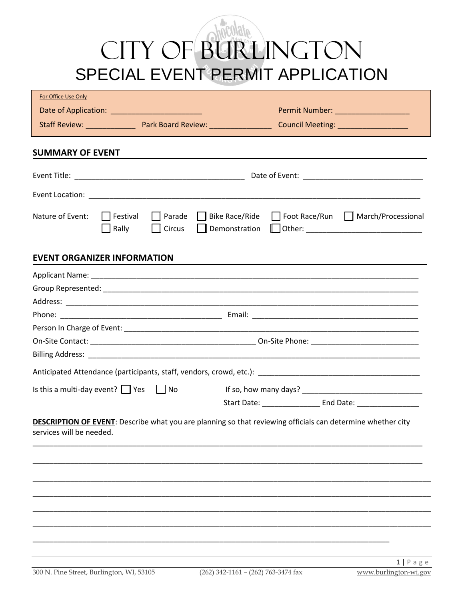# CITY OF BURLINGTON SPECIAL EVENT PERMIT APPLICATION

| Permit Number: _____________________<br>Foot Race/Run   March/Processional<br>□ Parade □ Bike Race/Ride<br>  Festival<br>Rally<br>Circus<br>Start Date: End Date: End Date:                                                                                                            | For Office Use Only |  |  |  |
|----------------------------------------------------------------------------------------------------------------------------------------------------------------------------------------------------------------------------------------------------------------------------------------|---------------------|--|--|--|
| <b>SUMMARY OF EVENT</b><br>Nature of Event:<br><b>EVENT ORGANIZER INFORMATION</b><br>Is this a multi-day event? $\Box$ Yes $\Box$ No<br><b>DESCRIPTION OF EVENT:</b> Describe what you are planning so that reviewing officials can determine whether city<br>services will be needed. |                     |  |  |  |
|                                                                                                                                                                                                                                                                                        |                     |  |  |  |
|                                                                                                                                                                                                                                                                                        |                     |  |  |  |
|                                                                                                                                                                                                                                                                                        |                     |  |  |  |
|                                                                                                                                                                                                                                                                                        |                     |  |  |  |
|                                                                                                                                                                                                                                                                                        |                     |  |  |  |
|                                                                                                                                                                                                                                                                                        |                     |  |  |  |
|                                                                                                                                                                                                                                                                                        |                     |  |  |  |
|                                                                                                                                                                                                                                                                                        |                     |  |  |  |
|                                                                                                                                                                                                                                                                                        |                     |  |  |  |
|                                                                                                                                                                                                                                                                                        |                     |  |  |  |
|                                                                                                                                                                                                                                                                                        |                     |  |  |  |
|                                                                                                                                                                                                                                                                                        |                     |  |  |  |
|                                                                                                                                                                                                                                                                                        |                     |  |  |  |
|                                                                                                                                                                                                                                                                                        |                     |  |  |  |
|                                                                                                                                                                                                                                                                                        |                     |  |  |  |
|                                                                                                                                                                                                                                                                                        |                     |  |  |  |
|                                                                                                                                                                                                                                                                                        |                     |  |  |  |
|                                                                                                                                                                                                                                                                                        |                     |  |  |  |
|                                                                                                                                                                                                                                                                                        |                     |  |  |  |
|                                                                                                                                                                                                                                                                                        |                     |  |  |  |
|                                                                                                                                                                                                                                                                                        |                     |  |  |  |
|                                                                                                                                                                                                                                                                                        |                     |  |  |  |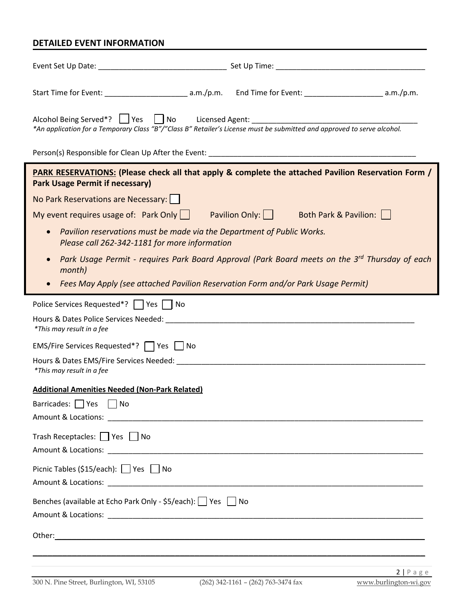### **DETAILED EVENT INFORMATION**

| Alcohol Being Served*?   Yes   No Licensed Agent: ______________________________<br>*An application for a Temporary Class "B"/"Class B" Retailer's License must be submitted and approved to serve alcohol. |    |  |  |  |
|-------------------------------------------------------------------------------------------------------------------------------------------------------------------------------------------------------------|----|--|--|--|
|                                                                                                                                                                                                             |    |  |  |  |
| PARK RESERVATIONS: (Please check all that apply & complete the attached Pavilion Reservation Form /<br><b>Park Usage Permit if necessary)</b>                                                               |    |  |  |  |
| No Park Reservations are Necessary:                                                                                                                                                                         |    |  |  |  |
| My event requires usage of: Park Only $\vert$   Pavilion Only: $\vert$   Both Park & Pavilion: $\vert$                                                                                                      |    |  |  |  |
| Pavilion reservations must be made via the Department of Public Works.<br>Please call 262-342-1181 for more information                                                                                     |    |  |  |  |
| Park Usage Permit - requires Park Board Approval (Park Board meets on the 3 <sup>rd</sup> Thursday of each<br>month)                                                                                        |    |  |  |  |
| Fees May Apply (see attached Pavilion Reservation Form and/or Park Usage Permit)                                                                                                                            |    |  |  |  |
| Police Services Requested*?   Yes   No                                                                                                                                                                      |    |  |  |  |
| *This may result in a fee                                                                                                                                                                                   |    |  |  |  |
| EMS/Fire Services Requested*?   Yes   No                                                                                                                                                                    |    |  |  |  |
| *This may result in a fee                                                                                                                                                                                   |    |  |  |  |
| <b>Additional Amenities Needed (Non-Park Related)</b>                                                                                                                                                       |    |  |  |  |
| Barricades:     Yes     No                                                                                                                                                                                  |    |  |  |  |
| Trash Receptacles: □ Yes □ No                                                                                                                                                                               |    |  |  |  |
|                                                                                                                                                                                                             |    |  |  |  |
| Picnic Tables (\$15/each): Ves No                                                                                                                                                                           |    |  |  |  |
|                                                                                                                                                                                                             |    |  |  |  |
| Benches (available at Echo Park Only - \$5/each):   Yes                                                                                                                                                     | No |  |  |  |
|                                                                                                                                                                                                             |    |  |  |  |
|                                                                                                                                                                                                             |    |  |  |  |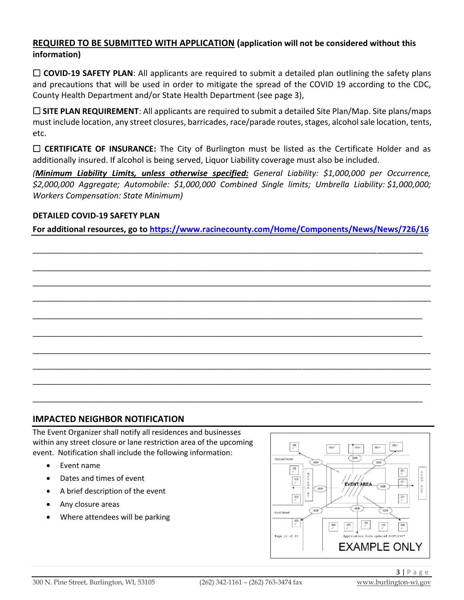#### **REQUIRED TO BE SUBMITTED WITH APPLICATION (application will not be considered without this information)**

□ **COVID-19 SAFETY PLAN**: All applicants are required to submit a detailed plan outlining the safety plans and precautions that will be used in order to mitigate the spread of the COVID 19 according to the CDC, County Health Department and/or State Health Department (see page 3),

 $\Box$  **SITE PLAN REQUIREMENT**: All applicants are required to submit a detailed Site Plan/Map. Site plans/maps must include location, any street closures, barricades, race/parade routes, stages, alcohol sale location, tents, etc.

□ **CERTIFICATE OF INSURANCE:** The City of Burlington must be listed as the Certificate Holder and as additionally insured. If alcohol is being served, Liquor Liability coverage must also be included.

*(Minimum Liability Limits, unless otherwise specified: General Liability: \$1,000,000 per Occurrence, \$2,000,000 Aggregate; Automobile: \$1,000,000 Combined Single limits; Umbrella Liability: \$1,000,000; Workers Compensation: State Minimum)*

#### **DETAILED COVID-19 SAFETY PLAN**

**For additional resources, go to https://www.racinecounty.com/Home/Components/News/News/726/16**

\_\_\_\_\_\_\_\_\_\_\_\_\_\_\_\_\_\_\_\_\_\_\_\_\_\_\_\_\_\_\_\_\_\_\_\_\_\_\_\_\_\_\_\_\_\_\_\_\_\_\_\_\_\_\_\_\_\_\_\_\_\_\_\_\_\_\_\_\_\_\_\_\_\_\_\_\_\_\_\_\_\_\_\_\_\_\_\_\_\_\_\_\_\_

\_\_\_\_\_\_\_\_\_\_\_\_\_\_\_\_\_\_\_\_\_\_\_\_\_\_\_\_\_\_\_\_\_\_\_\_\_\_\_\_\_\_\_\_\_\_\_\_\_\_\_\_\_\_\_\_\_\_\_\_\_\_\_\_\_\_\_\_\_\_\_\_\_\_\_\_\_\_\_\_\_\_\_\_\_\_\_\_\_\_\_\_\_\_\_\_

\_\_\_\_\_\_\_\_\_\_\_\_\_\_\_\_\_\_\_\_\_\_\_\_\_\_\_\_\_\_\_\_\_\_\_\_\_\_\_\_\_\_\_\_\_\_\_\_\_\_\_\_\_\_\_\_\_\_\_\_\_\_\_\_\_\_\_\_\_\_\_\_\_\_\_\_\_\_\_\_\_\_\_\_\_\_\_\_\_\_\_\_\_\_\_\_

\_\_\_\_\_\_\_\_\_\_\_\_\_\_\_\_\_\_\_\_\_\_\_\_\_\_\_\_\_\_\_\_\_\_\_\_\_\_\_\_\_\_\_\_\_\_\_\_\_\_\_\_\_\_\_\_\_\_\_\_\_\_\_\_\_\_\_\_\_\_\_\_\_\_\_\_\_\_\_\_\_\_\_\_\_\_\_\_\_\_\_\_\_\_\_\_

\_\_\_\_\_\_\_\_\_\_\_\_\_\_\_\_\_\_\_\_\_\_\_\_\_\_\_\_\_\_\_\_\_\_\_\_\_\_\_\_\_\_\_\_\_\_\_\_\_\_\_\_\_\_\_\_\_\_\_\_\_\_\_\_\_\_\_\_\_\_\_\_\_\_\_\_\_\_\_\_\_\_\_\_\_\_\_\_\_\_\_\_\_\_

\_\_\_\_\_\_\_\_\_\_\_\_\_\_\_\_\_\_\_\_\_\_\_\_\_\_\_\_\_\_\_\_\_\_\_\_\_\_\_\_\_\_\_\_\_\_\_\_\_\_\_\_\_\_\_\_\_\_\_\_\_\_\_\_\_\_\_\_\_\_\_\_\_\_\_\_\_\_\_\_\_\_\_\_\_\_\_\_\_\_\_\_\_\_

\_\_\_\_\_\_\_\_\_\_\_\_\_\_\_\_\_\_\_\_\_\_\_\_\_\_\_\_\_\_\_\_\_\_\_\_\_\_\_\_\_\_\_\_\_\_\_\_\_\_\_\_\_\_\_\_\_\_\_\_\_\_\_\_\_\_\_\_\_\_\_\_\_\_\_\_\_\_\_\_\_\_\_\_\_\_\_\_\_\_\_\_\_\_\_\_

\_\_\_\_\_\_\_\_\_\_\_\_\_\_\_\_\_\_\_\_\_\_\_\_\_\_\_\_\_\_\_\_\_\_\_\_\_\_\_\_\_\_\_\_\_\_\_\_\_\_\_\_\_\_\_\_\_\_\_\_\_\_\_\_\_\_\_\_\_\_\_\_\_\_\_\_\_\_\_\_\_\_\_\_\_\_\_\_\_\_\_\_\_\_\_\_

\_\_\_\_\_\_\_\_\_\_\_\_\_\_\_\_\_\_\_\_\_\_\_\_\_\_\_\_\_\_\_\_\_\_\_\_\_\_\_\_\_\_\_\_\_\_\_\_\_\_\_\_\_\_\_\_\_\_\_\_\_\_\_\_\_\_\_\_\_\_\_\_\_\_\_\_\_\_\_\_\_\_\_\_\_\_\_\_\_\_\_\_\_\_\_\_

\_\_\_\_\_\_\_\_\_\_\_\_\_\_\_\_\_\_\_\_\_\_\_\_\_\_\_\_\_\_\_\_\_\_\_\_\_\_\_\_\_\_\_\_\_\_\_\_\_\_\_\_\_\_\_\_\_\_\_\_\_\_\_\_\_\_\_\_\_\_\_\_\_\_\_\_\_\_\_\_\_\_\_\_\_\_\_\_\_\_\_\_\_\_

#### **IMPACTED NEIGHBOR NOTIFICATION**

The Event Organizer shall notify all residences and businesses within any street closure or lane restriction area of the upcoming event. Notification shall include the following information:

- Event name
- Dates and times of event
- A brief description of the event
- Any closure areas
- Where attendees will be parking

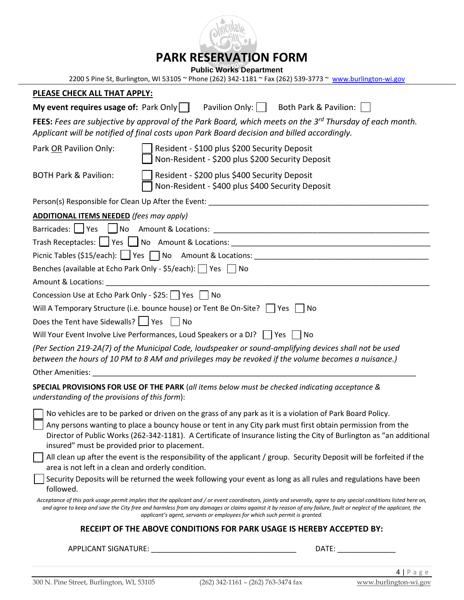

## **PARK RESERVATION FORM**

**Public Works Department**

| PLEASE CHECK ALL THAT APPLY:                                                                                                                                                                                                   |                                                                                                           | 2200 S Pine St, Burlington, WI 53105 ~ Phone (262) 342-1181 ~ Fax (262) 539-3773 ~ www.burlington-wi.gov                                                                                                                                                                                                                            |
|--------------------------------------------------------------------------------------------------------------------------------------------------------------------------------------------------------------------------------|-----------------------------------------------------------------------------------------------------------|-------------------------------------------------------------------------------------------------------------------------------------------------------------------------------------------------------------------------------------------------------------------------------------------------------------------------------------|
|                                                                                                                                                                                                                                | <b>My event requires usage of:</b> Park Only $\parallel$ Pavilion Only: $\parallel$ Both Park & Pavilion: |                                                                                                                                                                                                                                                                                                                                     |
|                                                                                                                                                                                                                                | Applicant will be notified of final costs upon Park Board decision and billed accordingly.                | FEES: Fees are subjective by approval of the Park Board, which meets on the 3 <sup>rd</sup> Thursday of each month.                                                                                                                                                                                                                 |
| Park OR Pavilion Only:                                                                                                                                                                                                         | Resident - \$100 plus \$200 Security Deposit<br>Non-Resident - \$200 plus \$200 Security Deposit          |                                                                                                                                                                                                                                                                                                                                     |
| <b>BOTH Park &amp; Pavilion:</b>                                                                                                                                                                                               | Resident - \$200 plus \$400 Security Deposit<br>Non-Resident - \$400 plus \$400 Security Deposit          |                                                                                                                                                                                                                                                                                                                                     |
|                                                                                                                                                                                                                                | Person(s) Responsible for Clean Up After the Event: ____________________________                          |                                                                                                                                                                                                                                                                                                                                     |
| <b>ADDITIONAL ITEMS NEEDED</b> (fees may apply)                                                                                                                                                                                |                                                                                                           |                                                                                                                                                                                                                                                                                                                                     |
|                                                                                                                                                                                                                                |                                                                                                           |                                                                                                                                                                                                                                                                                                                                     |
|                                                                                                                                                                                                                                | Benches (available at Echo Park Only - \$5/each): □ Yes □ No                                              |                                                                                                                                                                                                                                                                                                                                     |
| Amount & Locations: Amount & Locations and Amount & Locations and Amount of Amount Amount and Amount Amount Amount Amount Amount Amount Amount Amount Amount Amount Amount Amount Amount Amount Amount Amount Amount Amount Am |                                                                                                           |                                                                                                                                                                                                                                                                                                                                     |
| Concession Use at Echo Park Only - \$25: $\Box$ Yes $\Box$ No                                                                                                                                                                  |                                                                                                           |                                                                                                                                                                                                                                                                                                                                     |
|                                                                                                                                                                                                                                | Will A Temporary Structure (i.e. bounce house) or Tent Be On-Site? Ves No                                 |                                                                                                                                                                                                                                                                                                                                     |
| Does the Tent have Sidewalls? $\Box$ Yes $\Box$ No                                                                                                                                                                             |                                                                                                           |                                                                                                                                                                                                                                                                                                                                     |
|                                                                                                                                                                                                                                | Will Your Event Involve Live Performances, Loud Speakers or a DJ?     Yes     No                          |                                                                                                                                                                                                                                                                                                                                     |
|                                                                                                                                                                                                                                |                                                                                                           | (Per Section 219-2A(7) of the Municipal Code, loudspeaker or sound-amplifying devices shall not be used<br>(.) between the hours of 10 PM to 8 AM and privileges may be revoked if the volume becomes a nuisance                                                                                                                    |
| Other Amenities: The Contract of the Contract of the Contract of the Contract of the Contract of the Contract o                                                                                                                |                                                                                                           |                                                                                                                                                                                                                                                                                                                                     |
| understanding of the provisions of this form):                                                                                                                                                                                 | SPECIAL PROVISIONS FOR USE OF THE PARK (all items below must be checked indicating acceptance &           |                                                                                                                                                                                                                                                                                                                                     |
|                                                                                                                                                                                                                                |                                                                                                           | $\Box$ No vehicles are to be parked or driven on the grass of any park as it is a violation of Park Board Policy.                                                                                                                                                                                                                   |
| insured" must be provided prior to placement.                                                                                                                                                                                  |                                                                                                           | Any persons wanting to place a bouncy house or tent in any City park must first obtain permission from the<br>Director of Public Works (262-342-1181). A Certificate of Insurance listing the City of Burlington as "an additional                                                                                                  |
| area is not left in a clean and orderly condition.                                                                                                                                                                             |                                                                                                           | All clean up after the event is the responsibility of the applicant / group. Security Deposit will be forfeited if the                                                                                                                                                                                                              |
| followed.                                                                                                                                                                                                                      |                                                                                                           | Security Deposits will be returned the week following your event as long as all rules and regulations have been                                                                                                                                                                                                                     |
|                                                                                                                                                                                                                                | applicant's agent, servants or employees for which such permit is granted.                                | Acceptance of this park usage permit implies that the applicant and / or event coordinators, jointly and severally, agree to any special conditions listed here on,<br>and agree to keep and save the City free and harmless from any damages or claims against it by reason of any failure, fault or neglect of the applicant, the |
|                                                                                                                                                                                                                                | RECEIPT OF THE ABOVE CONDITIONS FOR PARK USAGE IS HEREBY ACCEPTED BY:                                     |                                                                                                                                                                                                                                                                                                                                     |
| APPLICANT SIGNATURE:                                                                                                                                                                                                           |                                                                                                           | DATE:                                                                                                                                                                                                                                                                                                                               |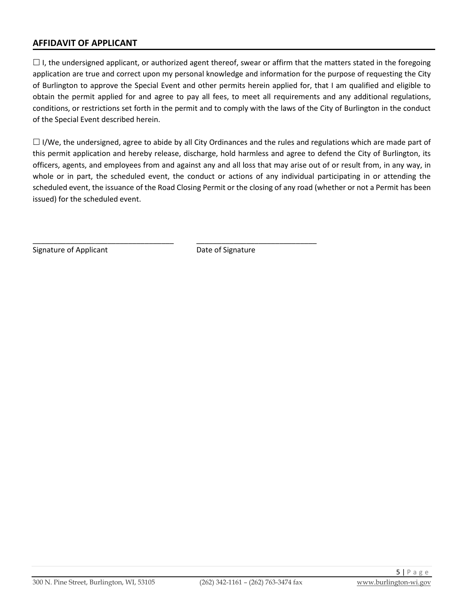#### **AFFIDAVIT OF APPLICANT**

 $\Box$  I, the undersigned applicant, or authorized agent thereof, swear or affirm that the matters stated in the foregoing application are true and correct upon my personal knowledge and information for the purpose of requesting the City of Burlington to approve the Special Event and other permits herein applied for, that I am qualified and eligible to obtain the permit applied for and agree to pay all fees, to meet all requirements and any additional regulations, conditions, or restrictions set forth in the permit and to comply with the laws of the City of Burlington in the conduct of the Special Event described herein.

 $\Box$  I/We, the undersigned, agree to abide by all City Ordinances and the rules and regulations which are made part of this permit application and hereby release, discharge, hold harmless and agree to defend the City of Burlington, its officers, agents, and employees from and against any and all loss that may arise out of or result from, in any way, in whole or in part, the scheduled event, the conduct or actions of any individual participating in or attending the scheduled event, the issuance of the Road Closing Permit or the closing of any road (whether or not a Permit has been issued) for the scheduled event.

Signature of Applicant **Date of Signature** Date of Signature

\_\_\_\_\_\_\_\_\_\_\_\_\_\_\_\_\_\_\_\_\_\_\_\_\_\_\_\_\_\_\_\_\_\_ \_\_\_\_\_\_\_\_\_\_\_\_\_\_\_\_\_\_\_\_\_\_\_\_\_\_\_\_\_